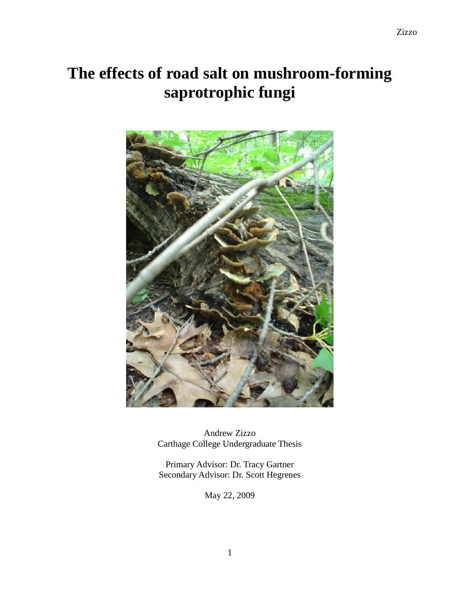# **The effects of road salt on mushroom-forming saprotrophic fungi**



Andrew Zizzo Carthage College Undergraduate Thesis

Primary Advisor: Dr. Tracy Gartner Secondary Advisor: Dr. Scott Hegrenes

May 22, 2009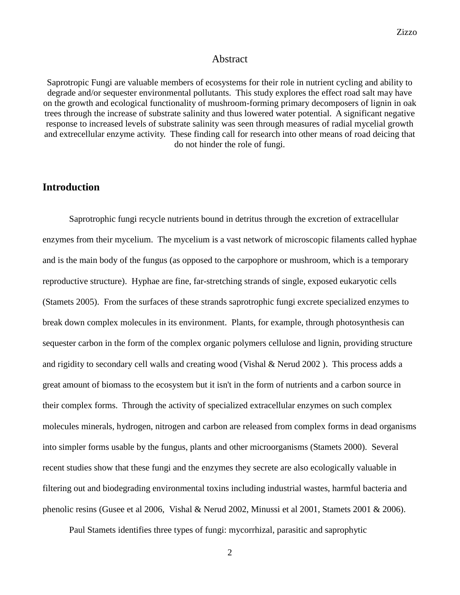## Abstract

Saprotropic Fungi are valuable members of ecosystems for their role in nutrient cycling and ability to degrade and/or sequester environmental pollutants. This study explores the effect road salt may have on the growth and ecological functionality of mushroom-forming primary decomposers of lignin in oak trees through the increase of substrate salinity and thus lowered water potential. A significant negative response to increased levels of substrate salinity was seen through measures of radial mycelial growth and extrecellular enzyme activity. These finding call for research into other means of road deicing that do not hinder the role of fungi.

# **Introduction**

Saprotrophic fungi recycle nutrients bound in detritus through the excretion of extracellular enzymes from their mycelium. The mycelium is a vast network of microscopic filaments called hyphae and is the main body of the fungus (as opposed to the carpophore or mushroom, which is a temporary reproductive structure). Hyphae are fine, far-stretching strands of single, exposed eukaryotic cells (Stamets 2005). From the surfaces of these strands saprotrophic fungi excrete specialized enzymes to break down complex molecules in its environment. Plants, for example, through photosynthesis can sequester carbon in the form of the complex organic polymers cellulose and lignin, providing structure and rigidity to secondary cell walls and creating wood (Vishal & Nerud 2002 ). This process adds a great amount of biomass to the ecosystem but it isn't in the form of nutrients and a carbon source in their complex forms. Through the activity of specialized extracellular enzymes on such complex molecules minerals, hydrogen, nitrogen and carbon are released from complex forms in dead organisms into simpler forms usable by the fungus, plants and other microorganisms (Stamets 2000). Several recent studies show that these fungi and the enzymes they secrete are also ecologically valuable in filtering out and biodegrading environmental toxins including industrial wastes, harmful bacteria and phenolic resins (Gusee et al 2006, Vishal & Nerud 2002, Minussi et al 2001, Stamets 2001 & 2006).

Paul Stamets identifies three types of fungi: mycorrhizal, parasitic and saprophytic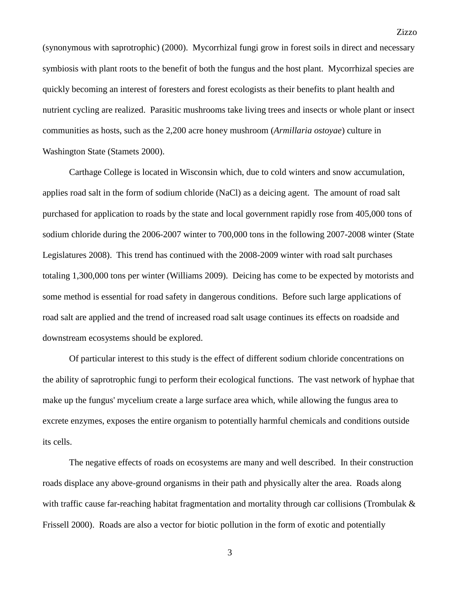(synonymous with saprotrophic) (2000). Mycorrhizal fungi grow in forest soils in direct and necessary symbiosis with plant roots to the benefit of both the fungus and the host plant. Mycorrhizal species are quickly becoming an interest of foresters and forest ecologists as their benefits to plant health and nutrient cycling are realized. Parasitic mushrooms take living trees and insects or whole plant or insect communities as hosts, such as the 2,200 acre honey mushroom (*Armillaria ostoyae*) culture in Washington State (Stamets 2000).

Carthage College is located in Wisconsin which, due to cold winters and snow accumulation, applies road salt in the form of sodium chloride (NaCl) as a deicing agent. The amount of road salt purchased for application to roads by the state and local government rapidly rose from 405,000 tons of sodium chloride during the 2006-2007 winter to 700,000 tons in the following 2007-2008 winter (State Legislatures 2008). This trend has continued with the 2008-2009 winter with road salt purchases totaling 1,300,000 tons per winter (Williams 2009). Deicing has come to be expected by motorists and some method is essential for road safety in dangerous conditions. Before such large applications of road salt are applied and the trend of increased road salt usage continues its effects on roadside and downstream ecosystems should be explored.

Of particular interest to this study is the effect of different sodium chloride concentrations on the ability of saprotrophic fungi to perform their ecological functions. The vast network of hyphae that make up the fungus' mycelium create a large surface area which, while allowing the fungus area to excrete enzymes, exposes the entire organism to potentially harmful chemicals and conditions outside its cells.

The negative effects of roads on ecosystems are many and well described. In their construction roads displace any above-ground organisms in their path and physically alter the area. Roads along with traffic cause far-reaching habitat fragmentation and mortality through car collisions (Trombulak & Frissell 2000). Roads are also a vector for biotic pollution in the form of exotic and potentially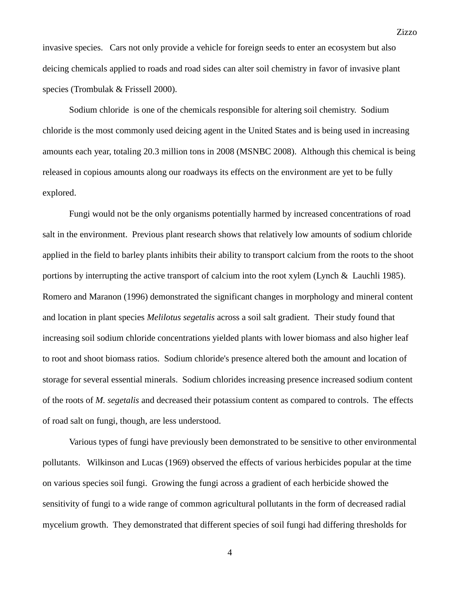invasive species. Cars not only provide a vehicle for foreign seeds to enter an ecosystem but also deicing chemicals applied to roads and road sides can alter soil chemistry in favor of invasive plant species (Trombulak & Frissell 2000).

Sodium chloride is one of the chemicals responsible for altering soil chemistry. Sodium chloride is the most commonly used deicing agent in the United States and is being used in increasing amounts each year, totaling 20.3 million tons in 2008 (MSNBC 2008). Although this chemical is being released in copious amounts along our roadways its effects on the environment are yet to be fully explored.

Fungi would not be the only organisms potentially harmed by increased concentrations of road salt in the environment. Previous plant research shows that relatively low amounts of sodium chloride applied in the field to barley plants inhibits their ability to transport calcium from the roots to the shoot portions by interrupting the active transport of calcium into the root xylem (Lynch & Lauchli 1985). Romero and Maranon (1996) demonstrated the significant changes in morphology and mineral content and location in plant species *Melilotus segetalis* across a soil salt gradient*.* Their study found that increasing soil sodium chloride concentrations yielded plants with lower biomass and also higher leaf to root and shoot biomass ratios. Sodium chloride's presence altered both the amount and location of storage for several essential minerals. Sodium chlorides increasing presence increased sodium content of the roots of *M. segetalis* and decreased their potassium content as compared to controls. The effects of road salt on fungi, though, are less understood.

Various types of fungi have previously been demonstrated to be sensitive to other environmental pollutants. Wilkinson and Lucas (1969) observed the effects of various herbicides popular at the time on various species soil fungi. Growing the fungi across a gradient of each herbicide showed the sensitivity of fungi to a wide range of common agricultural pollutants in the form of decreased radial mycelium growth. They demonstrated that different species of soil fungi had differing thresholds for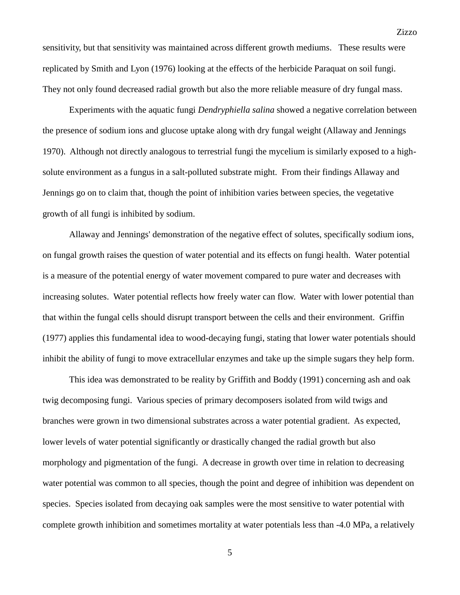sensitivity, but that sensitivity was maintained across different growth mediums. These results were replicated by Smith and Lyon (1976) looking at the effects of the herbicide Paraquat on soil fungi. They not only found decreased radial growth but also the more reliable measure of dry fungal mass.

Experiments with the aquatic fungi *Dendryphiella salina* showed a negative correlation between the presence of sodium ions and glucose uptake along with dry fungal weight (Allaway and Jennings 1970). Although not directly analogous to terrestrial fungi the mycelium is similarly exposed to a highsolute environment as a fungus in a salt-polluted substrate might. From their findings Allaway and Jennings go on to claim that, though the point of inhibition varies between species, the vegetative growth of all fungi is inhibited by sodium.

Allaway and Jennings' demonstration of the negative effect of solutes, specifically sodium ions, on fungal growth raises the question of water potential and its effects on fungi health. Water potential is a measure of the potential energy of water movement compared to pure water and decreases with increasing solutes. Water potential reflects how freely water can flow. Water with lower potential than that within the fungal cells should disrupt transport between the cells and their environment. Griffin (1977) applies this fundamental idea to wood-decaying fungi, stating that lower water potentials should inhibit the ability of fungi to move extracellular enzymes and take up the simple sugars they help form.

This idea was demonstrated to be reality by Griffith and Boddy (1991) concerning ash and oak twig decomposing fungi. Various species of primary decomposers isolated from wild twigs and branches were grown in two dimensional substrates across a water potential gradient. As expected, lower levels of water potential significantly or drastically changed the radial growth but also morphology and pigmentation of the fungi. A decrease in growth over time in relation to decreasing water potential was common to all species, though the point and degree of inhibition was dependent on species. Species isolated from decaying oak samples were the most sensitive to water potential with complete growth inhibition and sometimes mortality at water potentials less than -4.0 MPa, a relatively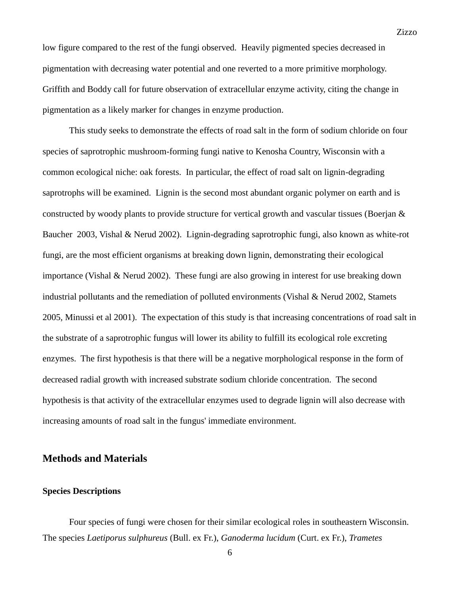low figure compared to the rest of the fungi observed. Heavily pigmented species decreased in pigmentation with decreasing water potential and one reverted to a more primitive morphology. Griffith and Boddy call for future observation of extracellular enzyme activity, citing the change in pigmentation as a likely marker for changes in enzyme production.

This study seeks to demonstrate the effects of road salt in the form of sodium chloride on four species of saprotrophic mushroom-forming fungi native to Kenosha Country, Wisconsin with a common ecological niche: oak forests. In particular, the effect of road salt on lignin-degrading saprotrophs will be examined. Lignin is the second most abundant organic polymer on earth and is constructed by woody plants to provide structure for vertical growth and vascular tissues (Boerjan & Baucher 2003, Vishal & Nerud 2002). Lignin-degrading saprotrophic fungi, also known as white-rot fungi, are the most efficient organisms at breaking down lignin, demonstrating their ecological importance (Vishal & Nerud 2002). These fungi are also growing in interest for use breaking down industrial pollutants and the remediation of polluted environments (Vishal  $\&$  Nerud 2002, Stamets 2005, Minussi et al 2001). The expectation of this study is that increasing concentrations of road salt in the substrate of a saprotrophic fungus will lower its ability to fulfill its ecological role excreting enzymes. The first hypothesis is that there will be a negative morphological response in the form of decreased radial growth with increased substrate sodium chloride concentration. The second hypothesis is that activity of the extracellular enzymes used to degrade lignin will also decrease with increasing amounts of road salt in the fungus' immediate environment.

# **Methods and Materials**

## **Species Descriptions**

Four species of fungi were chosen for their similar ecological roles in southeastern Wisconsin. The species *Laetiporus sulphureus* (Bull. ex Fr.), *Ganoderma lucidum* (Curt. ex Fr.), *Trametes*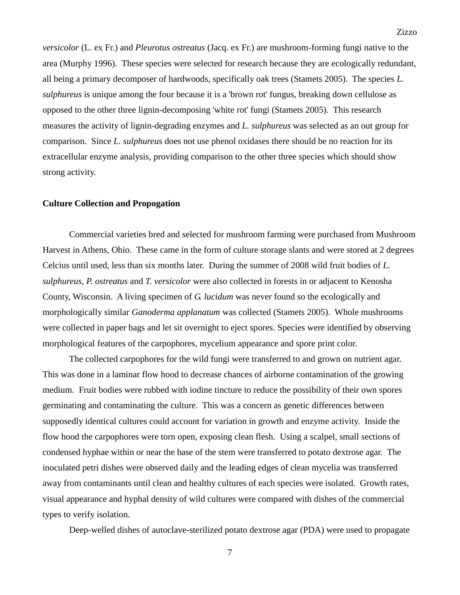*versicolor* (L. ex Fr.) and *Pleurotus ostreatus* (Jacq. ex Fr.) are mushroom-forming fungi native to the area (Murphy 1996). These species were selected for research because they are ecologically redundant, all being a primary decomposer of hardwoods, specifically oak trees (Stamets 2005). The species *L. sulphureus* is unique among the four because it is a 'brown rot' fungus, breaking down cellulose as opposed to the other three lignin-decomposing 'white rot' fungi (Stamets 2005). This research measures the activity of lignin-degrading enzymes and *L. sulphureus* was selected as an out group for comparison. Since *L. sulphureus* does not use phenol oxidases there should be no reaction for its extracellular enzyme analysis, providing comparison to the other three species which should show strong activity.

## **Culture Collection and Propogation**

Commercial varieties bred and selected for mushroom farming were purchased from Mushroom Harvest in Athens, Ohio. These came in the form of culture storage slants and were stored at 2 degrees Celcius until used, less than six months later. During the summer of 2008 wild fruit bodies of *L. sulphureus, P. ostreatus* and *T. versicolor* were also collected in forests in or adjacent to Kenosha County, Wisconsin. A living specimen of *G. lucidum* was never found so the ecologically and morphologically similar *Ganoderma applanatum* was collected (Stamets 2005). Whole mushrooms were collected in paper bags and let sit overnight to eject spores. Species were identified by observing morphological features of the carpophores, mycelium appearance and spore print color.

The collected carpophores for the wild fungi were transferred to and grown on nutrient agar. This was done in a laminar flow hood to decrease chances of airborne contamination of the growing medium. Fruit bodies were rubbed with iodine tincture to reduce the possibility of their own spores germinating and contaminating the culture. This was a concern as genetic differences between supposedly identical cultures could account for variation in growth and enzyme activity. Inside the flow hood the carpophores were torn open, exposing clean flesh. Using a scalpel, small sections of condensed hyphae within or near the base of the stem were transferred to potato dextrose agar. The inoculated petri dishes were observed daily and the leading edges of clean mycelia was transferred away from contaminants until clean and healthy cultures of each species were isolated. Growth rates, visual appearance and hyphal density of wild cultures were compared with dishes of the commercial types to verify isolation.

Deep-welled dishes of autoclave-sterilized potato dextrose agar (PDA) were used to propagate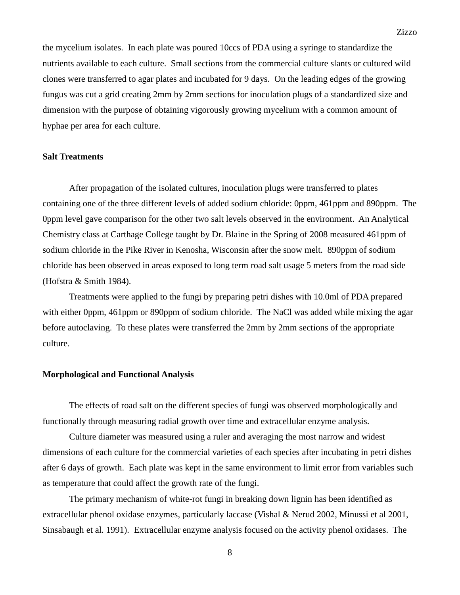the mycelium isolates. In each plate was poured 10ccs of PDA using a syringe to standardize the nutrients available to each culture. Small sections from the commercial culture slants or cultured wild clones were transferred to agar plates and incubated for 9 days. On the leading edges of the growing fungus was cut a grid creating 2mm by 2mm sections for inoculation plugs of a standardized size and dimension with the purpose of obtaining vigorously growing mycelium with a common amount of hyphae per area for each culture.

## **Salt Treatments**

After propagation of the isolated cultures, inoculation plugs were transferred to plates containing one of the three different levels of added sodium chloride: 0ppm, 461ppm and 890ppm. The 0ppm level gave comparison for the other two salt levels observed in the environment. An Analytical Chemistry class at Carthage College taught by Dr. Blaine in the Spring of 2008 measured 461ppm of sodium chloride in the Pike River in Kenosha, Wisconsin after the snow melt. 890ppm of sodium chloride has been observed in areas exposed to long term road salt usage 5 meters from the road side (Hofstra & Smith 1984).

Treatments were applied to the fungi by preparing petri dishes with 10.0ml of PDA prepared with either 0ppm, 461ppm or 890ppm of sodium chloride. The NaCl was added while mixing the agar before autoclaving. To these plates were transferred the 2mm by 2mm sections of the appropriate culture.

#### **Morphological and Functional Analysis**

The effects of road salt on the different species of fungi was observed morphologically and functionally through measuring radial growth over time and extracellular enzyme analysis.

Culture diameter was measured using a ruler and averaging the most narrow and widest dimensions of each culture for the commercial varieties of each species after incubating in petri dishes after 6 days of growth. Each plate was kept in the same environment to limit error from variables such as temperature that could affect the growth rate of the fungi.

The primary mechanism of white-rot fungi in breaking down lignin has been identified as extracellular phenol oxidase enzymes, particularly laccase (Vishal & Nerud 2002, Minussi et al 2001, Sinsabaugh et al. 1991). Extracellular enzyme analysis focused on the activity phenol oxidases. The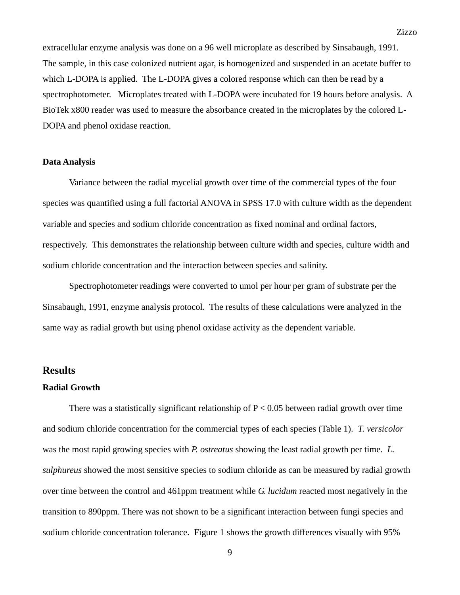extracellular enzyme analysis was done on a 96 well microplate as described by Sinsabaugh, 1991. The sample, in this case colonized nutrient agar, is homogenized and suspended in an acetate buffer to which L-DOPA is applied. The L-DOPA gives a colored response which can then be read by a spectrophotometer. Microplates treated with L-DOPA were incubated for 19 hours before analysis. A BioTek x800 reader was used to measure the absorbance created in the microplates by the colored L-DOPA and phenol oxidase reaction.

## **Data Analysis**

Variance between the radial mycelial growth over time of the commercial types of the four species was quantified using a full factorial ANOVA in SPSS 17.0 with culture width as the dependent variable and species and sodium chloride concentration as fixed nominal and ordinal factors, respectively. This demonstrates the relationship between culture width and species, culture width and sodium chloride concentration and the interaction between species and salinity.

Spectrophotometer readings were converted to umol per hour per gram of substrate per the Sinsabaugh, 1991, enzyme analysis protocol. The results of these calculations were analyzed in the same way as radial growth but using phenol oxidase activity as the dependent variable.

## **Results**

## **Radial Growth**

There was a statistically significant relationship of  $P < 0.05$  between radial growth over time and sodium chloride concentration for the commercial types of each species (Table 1). *T. versicolor*  was the most rapid growing species with *P. ostreatus* showing the least radial growth per time. *L. sulphureus* showed the most sensitive species to sodium chloride as can be measured by radial growth over time between the control and 461ppm treatment while *G. lucidum* reacted most negatively in the transition to 890ppm. There was not shown to be a significant interaction between fungi species and sodium chloride concentration tolerance. Figure 1 shows the growth differences visually with 95%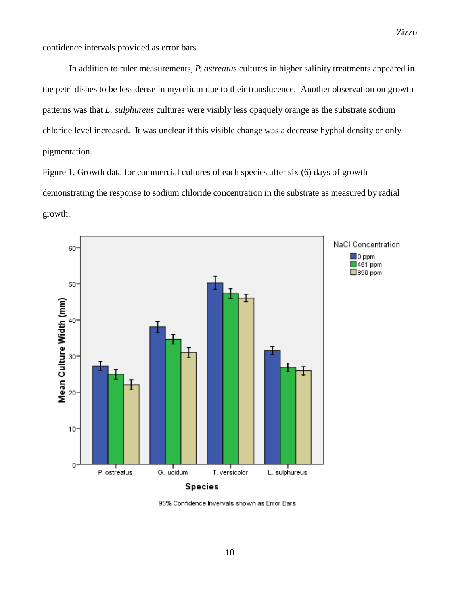confidence intervals provided as error bars.

In addition to ruler measurements, *P. ostreatus* cultures in higher salinity treatments appeared in the petri dishes to be less dense in mycelium due to their translucence. Another observation on growth patterns was that *L. sulphureus* cultures were visibly less opaquely orange as the substrate sodium chloride level increased. It was unclear if this visible change was a decrease hyphal density or only pigmentation.

Figure 1, Growth data for commercial cultures of each species after six (6) days of growth demonstrating the response to sodium chloride concentration in the substrate as measured by radial growth.



95% Confidence Invervals shown as Error Bars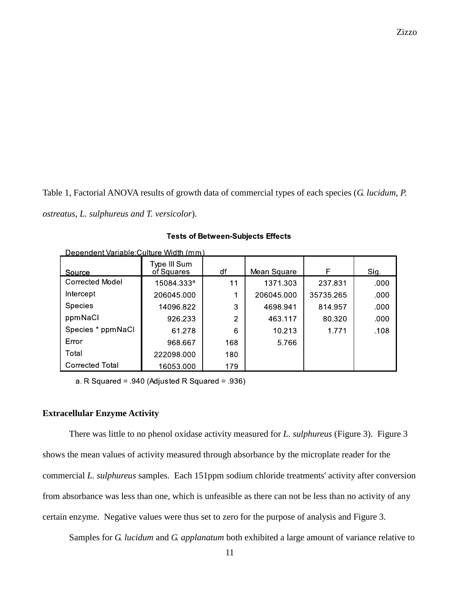Zizzo

Table 1, Factorial ANOVA results of growth data of commercial types of each species (*G. lucidum, P. ostreatus, L. sulphureus and T. versicolor*).

| Dependent Variable: Culture Width (mm) |                            |     |             |           |      |  |
|----------------------------------------|----------------------------|-----|-------------|-----------|------|--|
| Source                                 | Type III Sum<br>of Squares | df  | Mean Square | F         | Sig. |  |
| Corrected Model                        | 15084.333ª                 | 11  | 1371.303    | 237.831   | .000 |  |
| Intercept                              | 206045.000                 |     | 206045.000  | 35735.265 | .000 |  |
| <b>Species</b>                         | 14096.822                  | 3   | 4698.941    | 814.957   | .000 |  |
| ppmNaCl                                | 926.233                    | 2   | 463.117     | 80.320    | .000 |  |
| Species * ppmNaCl                      | 61.278                     | 6   | 10.213      | 1.771     | .108 |  |
| Error                                  | 968.667                    | 168 | 5.766       |           |      |  |
| Total                                  | 222098.000                 | 180 |             |           |      |  |
| <b>Corrected Total</b>                 | 16053.000                  | 179 |             |           |      |  |

**Tests of Between-Subjects Effects** 

a. R Squared =  $.940$  (Adjusted R Squared =  $.936$ )

# **Extracellular Enzyme Activity**

There was little to no phenol oxidase activity measured for *L. sulphureus* (Figure 3). Figure 3 shows the mean values of activity measured through absorbance by the microplate reader for the commercial *L. sulphureus* samples. Each 151ppm sodium chloride treatments' activity after conversion from absorbance was less than one, which is unfeasible as there can not be less than no activity of any certain enzyme. Negative values were thus set to zero for the purpose of analysis and Figure 3.

Samples for *G. lucidum* and *G. applanatum* both exhibited a large amount of variance relative to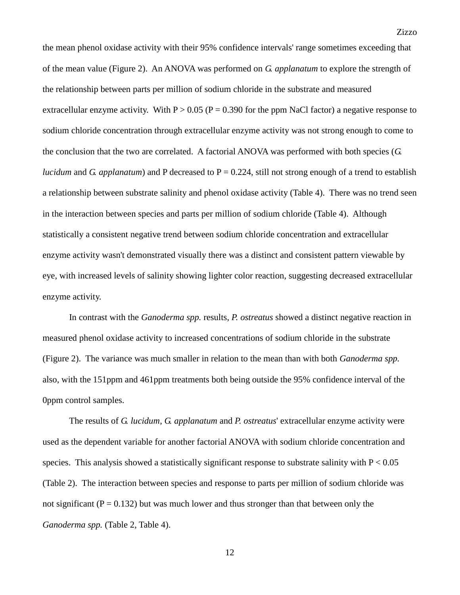the mean phenol oxidase activity with their 95% confidence intervals' range sometimes exceeding that of the mean value (Figure 2). An ANOVA was performed on *G. applanatum* to explore the strength of the relationship between parts per million of sodium chloride in the substrate and measured extracellular enzyme activity. With  $P > 0.05$  ( $P = 0.390$  for the ppm NaCl factor) a negative response to sodium chloride concentration through extracellular enzyme activity was not strong enough to come to the conclusion that the two are correlated. A factorial ANOVA was performed with both species (*G. lucidum* and *G. applanatum*) and P decreased to  $P = 0.224$ , still not strong enough of a trend to establish a relationship between substrate salinity and phenol oxidase activity (Table 4). There was no trend seen in the interaction between species and parts per million of sodium chloride (Table 4). Although statistically a consistent negative trend between sodium chloride concentration and extracellular enzyme activity wasn't demonstrated visually there was a distinct and consistent pattern viewable by eye, with increased levels of salinity showing lighter color reaction, suggesting decreased extracellular enzyme activity.

In contrast with the *Ganoderma spp.* results, *P. ostreatus* showed a distinct negative reaction in measured phenol oxidase activity to increased concentrations of sodium chloride in the substrate (Figure 2). The variance was much smaller in relation to the mean than with both *Ganoderma spp.*  also, with the 151ppm and 461ppm treatments both being outside the 95% confidence interval of the 0ppm control samples.

The results of *G. lucidum*, *G. applanatum* and *P. ostreatus*' extracellular enzyme activity were used as the dependent variable for another factorial ANOVA with sodium chloride concentration and species. This analysis showed a statistically significant response to substrate salinity with  $P < 0.05$ (Table 2). The interaction between species and response to parts per million of sodium chloride was not significant ( $P = 0.132$ ) but was much lower and thus stronger than that between only the *Ganoderma spp.* (Table 2, Table 4).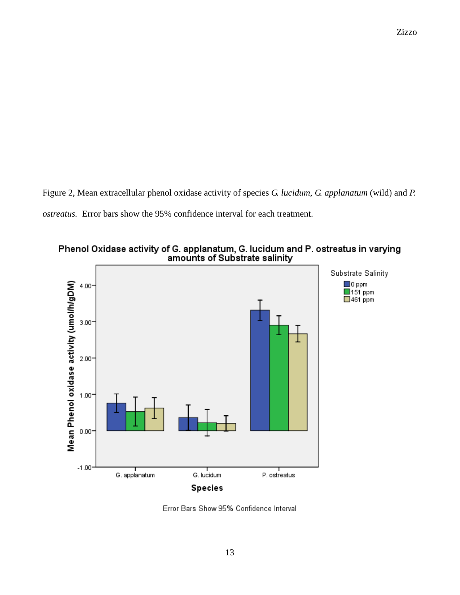Figure 2, Mean extracellular phenol oxidase activity of species *G. lucidum*, *G. applanatum* (wild) and *P. ostreatus.* Error bars show the 95% confidence interval for each treatment.





Error Bars Show 95% Confidence Interval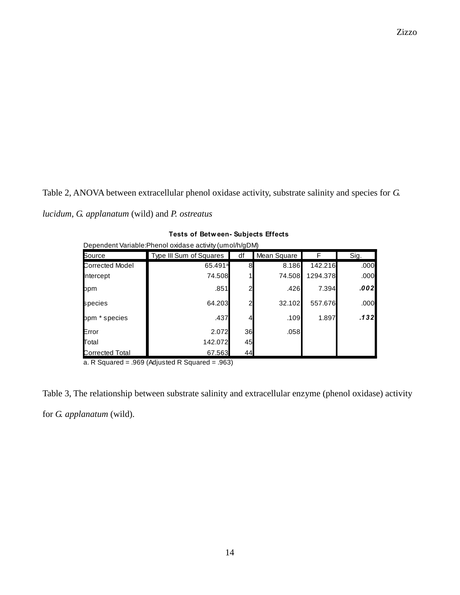Table 2, ANOVA between extracellular phenol oxidase activity, substrate salinity and species for *G.* 

*lucidum*, *G. applanatum* (wild) and *P. ostreatus* **Tests of Between- Subjects Effects**

| <b>Tests of Between- Subjects Effects</b>                |                         |    |             |          |       |  |  |
|----------------------------------------------------------|-------------------------|----|-------------|----------|-------|--|--|
| Dependent Variable: Phenol oxidase activity (umol/h/gDM) |                         |    |             |          |       |  |  |
| Source                                                   | Type III Sum of Squares | df | Mean Square | F        | Sig.  |  |  |
| <b>Corrected Model</b>                                   | 65.491 <sup>a</sup>     |    | 8.186       | 142.216  | .000  |  |  |
| ntercept                                                 | 74.508                  |    | 74.508      | 1294.378 | .000  |  |  |
| ppm                                                      | .851                    |    | .426        | 7.394    | 0021. |  |  |
| species                                                  | 64.203                  |    | 32.102      | 557.676  | .000  |  |  |
| ppm * species                                            | .437                    |    | .109        | 1.897    | .132  |  |  |
| Error                                                    | 2.072                   | 36 | .058        |          |       |  |  |
| Total                                                    | 142.072                 | 45 |             |          |       |  |  |
| Corrected Total                                          | 67.563                  | 44 |             |          |       |  |  |
| a. R Squared = $.969$ (Adjusted R Squared = $.963$ )     |                         |    |             |          |       |  |  |

|  |  | <b>Tests of Between- Subjects Effects</b> |  |  |
|--|--|-------------------------------------------|--|--|
|--|--|-------------------------------------------|--|--|

Table 3, The relationship between substrate salinity and extracellular enzyme (phenol oxidase) activity for *G. applanatum* (wild).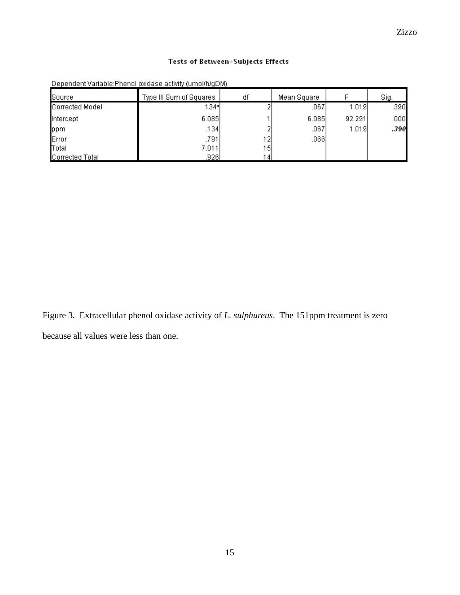# Tests of Between-Subjects Effects

| Source          | Type III Sum of Squares | df              | Mean Square |        | Siq  |
|-----------------|-------------------------|-----------------|-------------|--------|------|
| Corrected Model | .134학                   |                 | .067        | 1.019  | .390 |
| Intercept       | 6.085                   |                 | 6.085       | 92.291 | .000 |
| ppm             | .134                    |                 | .067        | 1.019  | .390 |
| Error           | .791                    | 121             | .066        |        |      |
| Total           | 7.011                   | 15              |             |        |      |
| Corrected Total | .9261                   | 14 <sub>1</sub> |             |        |      |

Dependent Variable: Phenol oxidase activity (umol/h/gDM)

Figure 3, Extracellular phenol oxidase activity of *L. sulphureus*. The 151ppm treatment is zero because all values were less than one.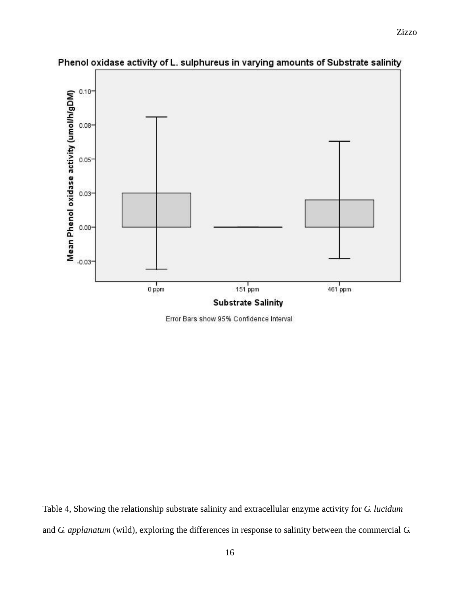

Phenol oxidase activity of L. sulphureus in varying amounts of Substrate salinity

Error Bars show 95% Confidence Interval

Table 4, Showing the relationship substrate salinity and extracellular enzyme activity for *G. lucidum*  and *G. applanatum* (wild), exploring the differences in response to salinity between the commercial *G.*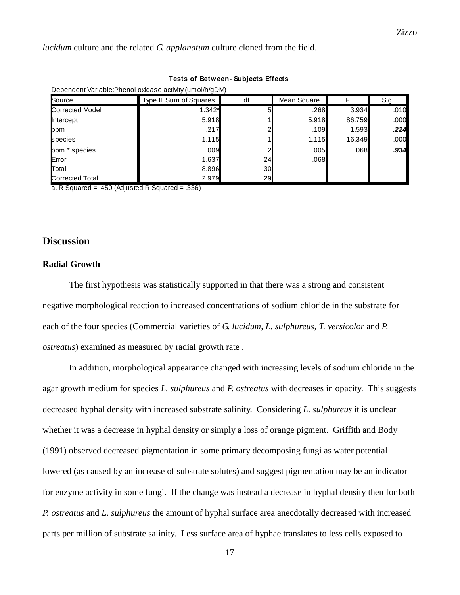*lucidum* culture and the related *G. applanatum* culture cloned from the field.

| <b>Tests of Between- Subjects Effects</b><br>Dependent Variable: Phenol oxidase activity (umol/h/gDM) |        |    |       |        |      |  |
|-------------------------------------------------------------------------------------------------------|--------|----|-------|--------|------|--|
|                                                                                                       |        |    |       |        |      |  |
| <b>Corrected Model</b>                                                                                | 1.342a |    | .268  | 3.934  | .010 |  |
| ntercept                                                                                              | 5.918  |    | 5.918 | 86.759 | .000 |  |
| ppm                                                                                                   | .217   |    | .109  | 1.593  | .224 |  |
| species                                                                                               | 1.115  |    | 1.115 | 16.349 | .000 |  |
| ppm * species                                                                                         | .009   |    | .005  | .068   | .934 |  |
| Error                                                                                                 | 1.637  | 24 | .068  |        |      |  |
| Total                                                                                                 | 8.896  | 30 |       |        |      |  |
| Corrected Total                                                                                       | 2.979  | 29 |       |        |      |  |

## **Tests of Between- Subjects Effects**

a. R Squared = .450 (Adjusted R Squared = .336)

# **Discussion**

#### **Radial Growth**

The first hypothesis was statistically supported in that there was a strong and consistent negative morphological reaction to increased concentrations of sodium chloride in the substrate for each of the four species (Commercial varieties of *G. lucidum*, *L. sulphureus*, *T. versicolor* and *P. ostreatus*) examined as measured by radial growth rate .

In addition, morphological appearance changed with increasing levels of sodium chloride in the agar growth medium for species *L. sulphureus* and *P. ostreatus* with decreases in opacity. This suggests decreased hyphal density with increased substrate salinity. Considering *L. sulphureus* it is unclear whether it was a decrease in hyphal density or simply a loss of orange pigment. Griffith and Body (1991) observed decreased pigmentation in some primary decomposing fungi as water potential lowered (as caused by an increase of substrate solutes) and suggest pigmentation may be an indicator for enzyme activity in some fungi. If the change was instead a decrease in hyphal density then for both *P. ostreatus* and *L. sulphureus* the amount of hyphal surface area anecdotally decreased with increased parts per million of substrate salinity. Less surface area of hyphae translates to less cells exposed to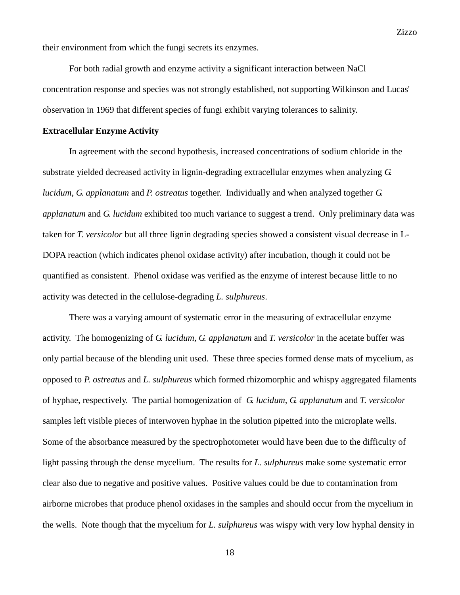their environment from which the fungi secrets its enzymes.

For both radial growth and enzyme activity a significant interaction between NaCl concentration response and species was not strongly established, not supporting Wilkinson and Lucas' observation in 1969 that different species of fungi exhibit varying tolerances to salinity.

#### **Extracellular Enzyme Activity**

In agreement with the second hypothesis, increased concentrations of sodium chloride in the substrate yielded decreased activity in lignin-degrading extracellular enzymes when analyzing *G. lucidum*, *G. applanatum* and *P. ostreatus* together. Individually and when analyzed together *G. applanatum* and *G. lucidum* exhibited too much variance to suggest a trend. Only preliminary data was taken for *T. versicolor* but all three lignin degrading species showed a consistent visual decrease in L-DOPA reaction (which indicates phenol oxidase activity) after incubation, though it could not be quantified as consistent. Phenol oxidase was verified as the enzyme of interest because little to no activity was detected in the cellulose-degrading *L. sulphureus*.

There was a varying amount of systematic error in the measuring of extracellular enzyme activity. The homogenizing of *G. lucidum*, *G. applanatum* and *T. versicolor* in the acetate buffer was only partial because of the blending unit used. These three species formed dense mats of mycelium, as opposed to *P. ostreatus* and *L. sulphureus* which formed rhizomorphic and whispy aggregated filaments of hyphae, respectively. The partial homogenization of *G. lucidum*, *G. applanatum* and *T. versicolor*  samples left visible pieces of interwoven hyphae in the solution pipetted into the microplate wells. Some of the absorbance measured by the spectrophotometer would have been due to the difficulty of light passing through the dense mycelium. The results for *L. sulphureus* make some systematic error clear also due to negative and positive values. Positive values could be due to contamination from airborne microbes that produce phenol oxidases in the samples and should occur from the mycelium in the wells. Note though that the mycelium for *L. sulphureus* was wispy with very low hyphal density in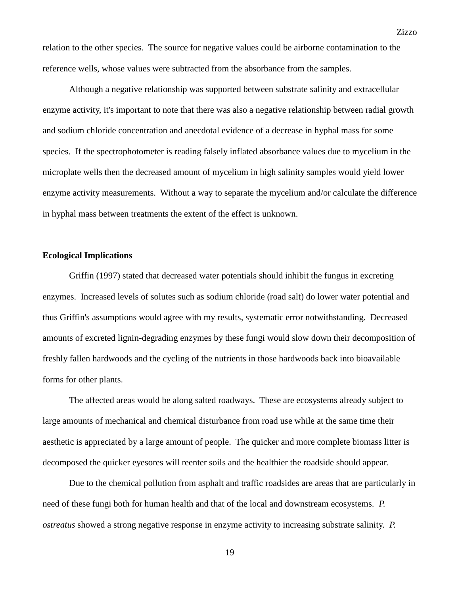relation to the other species. The source for negative values could be airborne contamination to the reference wells, whose values were subtracted from the absorbance from the samples.

Although a negative relationship was supported between substrate salinity and extracellular enzyme activity, it's important to note that there was also a negative relationship between radial growth and sodium chloride concentration and anecdotal evidence of a decrease in hyphal mass for some species. If the spectrophotometer is reading falsely inflated absorbance values due to mycelium in the microplate wells then the decreased amount of mycelium in high salinity samples would yield lower enzyme activity measurements. Without a way to separate the mycelium and/or calculate the difference in hyphal mass between treatments the extent of the effect is unknown.

## **Ecological Implications**

Griffin (1997) stated that decreased water potentials should inhibit the fungus in excreting enzymes. Increased levels of solutes such as sodium chloride (road salt) do lower water potential and thus Griffin's assumptions would agree with my results, systematic error notwithstanding. Decreased amounts of excreted lignin-degrading enzymes by these fungi would slow down their decomposition of freshly fallen hardwoods and the cycling of the nutrients in those hardwoods back into bioavailable forms for other plants.

The affected areas would be along salted roadways. These are ecosystems already subject to large amounts of mechanical and chemical disturbance from road use while at the same time their aesthetic is appreciated by a large amount of people. The quicker and more complete biomass litter is decomposed the quicker eyesores will reenter soils and the healthier the roadside should appear.

Due to the chemical pollution from asphalt and traffic roadsides are areas that are particularly in need of these fungi both for human health and that of the local and downstream ecosystems. *P. ostreatus* showed a strong negative response in enzyme activity to increasing substrate salinity. *P.*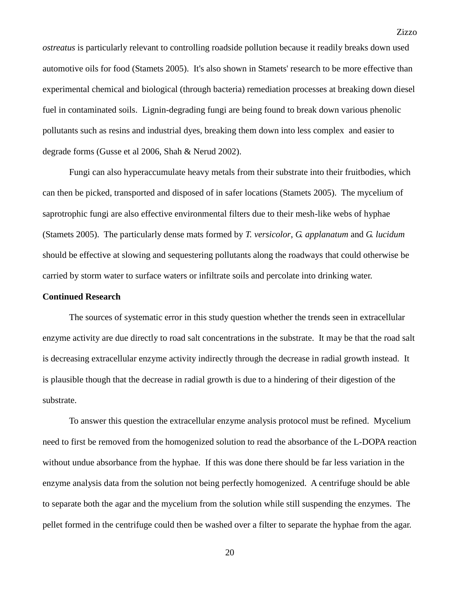*ostreatus* is particularly relevant to controlling roadside pollution because it readily breaks down used automotive oils for food (Stamets 2005). It's also shown in Stamets' research to be more effective than experimental chemical and biological (through bacteria) remediation processes at breaking down diesel fuel in contaminated soils. Lignin-degrading fungi are being found to break down various phenolic pollutants such as resins and industrial dyes, breaking them down into less complex and easier to degrade forms (Gusse et al 2006, Shah & Nerud 2002).

Fungi can also hyperaccumulate heavy metals from their substrate into their fruitbodies, which can then be picked, transported and disposed of in safer locations (Stamets 2005). The mycelium of saprotrophic fungi are also effective environmental filters due to their mesh-like webs of hyphae (Stamets 2005). The particularly dense mats formed by *T. versicolor*, *G. applanatum* and *G. lucidum* should be effective at slowing and sequestering pollutants along the roadways that could otherwise be carried by storm water to surface waters or infiltrate soils and percolate into drinking water.

#### **Continued Research**

The sources of systematic error in this study question whether the trends seen in extracellular enzyme activity are due directly to road salt concentrations in the substrate. It may be that the road salt is decreasing extracellular enzyme activity indirectly through the decrease in radial growth instead. It is plausible though that the decrease in radial growth is due to a hindering of their digestion of the substrate.

To answer this question the extracellular enzyme analysis protocol must be refined. Mycelium need to first be removed from the homogenized solution to read the absorbance of the L-DOPA reaction without undue absorbance from the hyphae. If this was done there should be far less variation in the enzyme analysis data from the solution not being perfectly homogenized. A centrifuge should be able to separate both the agar and the mycelium from the solution while still suspending the enzymes. The pellet formed in the centrifuge could then be washed over a filter to separate the hyphae from the agar.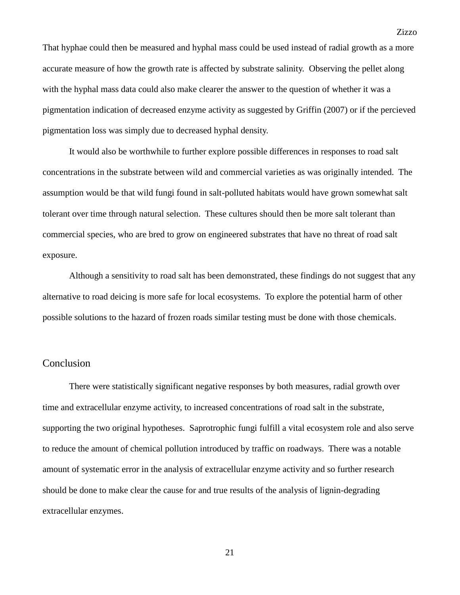That hyphae could then be measured and hyphal mass could be used instead of radial growth as a more accurate measure of how the growth rate is affected by substrate salinity. Observing the pellet along with the hyphal mass data could also make clearer the answer to the question of whether it was a pigmentation indication of decreased enzyme activity as suggested by Griffin (2007) or if the percieved pigmentation loss was simply due to decreased hyphal density.

It would also be worthwhile to further explore possible differences in responses to road salt concentrations in the substrate between wild and commercial varieties as was originally intended. The assumption would be that wild fungi found in salt-polluted habitats would have grown somewhat salt tolerant over time through natural selection. These cultures should then be more salt tolerant than commercial species, who are bred to grow on engineered substrates that have no threat of road salt exposure.

Although a sensitivity to road salt has been demonstrated, these findings do not suggest that any alternative to road deicing is more safe for local ecosystems. To explore the potential harm of other possible solutions to the hazard of frozen roads similar testing must be done with those chemicals.

## Conclusion

There were statistically significant negative responses by both measures, radial growth over time and extracellular enzyme activity, to increased concentrations of road salt in the substrate, supporting the two original hypotheses. Saprotrophic fungi fulfill a vital ecosystem role and also serve to reduce the amount of chemical pollution introduced by traffic on roadways. There was a notable amount of systematic error in the analysis of extracellular enzyme activity and so further research should be done to make clear the cause for and true results of the analysis of lignin-degrading extracellular enzymes.

Zizzo